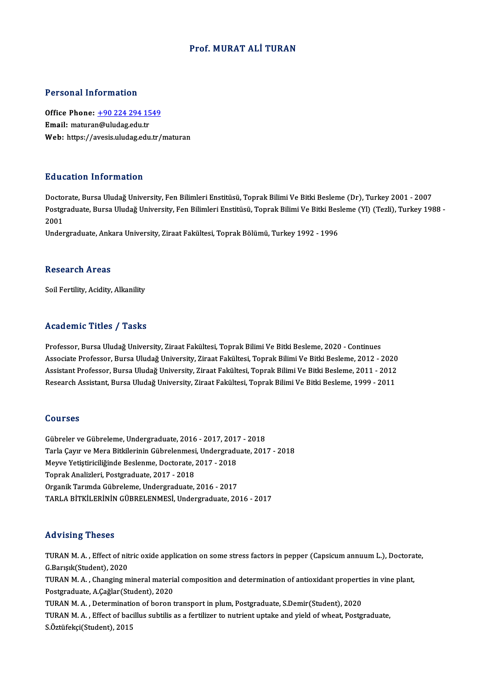### Prof.MURAT ALİ TURAN

#### Personal Information

Personal Information<br>Office Phone: <u>+90 224 294 1549</u><br>Email: maturan@uludas.edu.tr Processing information<br>Office Phone: <u>+90 224 294 15</u><br>Email: matura[n@uludag.edu.tr](tel:+90 224 294 1549) Email: maturan@uludag.edu.tr<br>Web: https://avesis.uludag.edu.tr/maturan

### Education Information

Doctorate, Bursa Uludağ University, Fen Bilimleri Enstitüsü, Toprak Bilimi Ve Bitki Besleme (Dr), Turkey 2001 - 2007 Bu u sutron Triron inutron<br>Doctorate, Bursa Uludağ University, Fen Bilimleri Enstitüsü, Toprak Bilimi Ve Bitki Besleme (Dr), Turkey 2001 - 2007<br>Postgraduate, Bursa Uludağ University, Fen Bilimleri Enstitüsü, Toprak Bilimi Docto<br>Postgi<br>2001<br>Under Postgraduate, Bursa Uludağ University, Fen Bilimleri Enstitüsü, Toprak Bilimi Ve Bitki Bes<br>2001<br>Undergraduate, Ankara University, Ziraat Fakültesi, Toprak Bölümü, Turkey 1992 - 1996

Undergraduate, Ankara University, Ziraat Fakültesi, Toprak Bölümü, Turkey 1992 - 1996<br>Research Areas

Soil Fertility, Acidity, Alkanility

### Academic Titles / Tasks

Professor, Bursa Uludağ University, Ziraat Fakültesi, Toprak Bilimi Ve Bitki Besleme, 2020 - Continues Associate Professor, Bursa Uludağ University, Ziraat Fakültesi, Toprak Bilimi Ve Bitki Besleme, 2012 - 2020 Professor, Bursa Uludağ University, Ziraat Fakültesi, Toprak Bilimi Ve Bitki Besleme, 2020 - Continues<br>Associate Professor, Bursa Uludağ University, Ziraat Fakültesi, Toprak Bilimi Ve Bitki Besleme, 2012 - 2020<br>Assistant P Associate Professor, Bursa Uludağ University, Ziraat Fakültesi, Toprak Bilimi Ve Bitki Besleme, 2012 - 2020<br>Assistant Professor, Bursa Uludağ University, Ziraat Fakültesi, Toprak Bilimi Ve Bitki Besleme, 2011 - 2012<br>Resear Research Assistant, Bursa Uludağ University, Ziraat Fakültesi, Toprak Bilimi Ve Bitki Besleme, 1999 - 2011<br>Courses

Gübreler veGübreleme,Undergraduate,2016 -2017,2017 -2018 SSATBSS<br>Gübreler ve Gübreleme, Undergraduate, 2016 - 2017, 2017 - 2018<br>Tarla Çayır ve Mera Bitkilerinin Gübrelenmesi, Undergraduate, 2017 - 2018<br>Merve Vetistirisiliğinde Beslanme, Destersta, 2017 - 2019 Gübreler ve Gübreleme, Undergraduate, 2016 - 2017, 2017<br>Tarla Çayır ve Mera Bitkilerinin Gübrelenmesi, Undergradu<br>Meyve Yetiştiriciliğinde Beslenme, Doctorate, 2017 - 2018<br>Tenrek Analizleri, Bestaraduate, 2017, 2019 Tarla Çayır ve Mera Bitkilerinin Gübrelenmesi<br>Meyve Yetiştiriciliğinde Beslenme, Doctorate, .<br>Toprak Analizleri, Postgraduate, 2017 - 2018<br>Organik Torumde Gübreleme, Undergraduate Meyve Yetiştiriciliğinde Beslenme, Doctorate, 2017 - 2018<br>Toprak Analizleri, Postgraduate, 2017 - 2018<br>Organik Tarımda Gübreleme, Undergraduate, 2016 - 2017 TARLABİTKİLERİNİNGÜBRELENMESİ,Undergraduate,2016 -2017

#### Advising Theses

Advising Theses<br>TURAN M. A. , Effect of nitric oxide application on some stress factors in pepper (Capsicum annuum L.), Doctorate,<br>C. Boryalt(Student), 2020 TURAN M. A., Effect of nit<br>G.Barışık(Student), 2020<br>TURAN M. A., Changing m TURAN M. A. , Effect of nitric oxide application on some stress factors in pepper (Capsicum annuum L.), Doctora<br>G.Barışık(Student), 2020<br>TURAN M. A. , Changing mineral material composition and determination of antioxidant G.Barışık(Student), 2020<br>TURAN M. A. , Changing mineral materia<br>Postgraduate, A.Çağlar(Student), 2020<br>TURAN M. A. , Determination of baron t TURAN M. A. , Changing mineral material composition and determination of antioxidant propertion<br>Postgraduate, A.Çağlar(Student), 2020<br>TURAN M. A. , Determination of boron transport in plum, Postgraduate, S.Demir(Student), Postgraduate, A.Çağlar(Student), 2020<br>TURAN M. A. , Determination of boron transport in plum, Postgraduate, S.Demir(Student), 2020<br>TURAN M. A. , Effect of bacillus subtilis as a fertilizer to nutrient uptake and yield of w TURAN M. A., Determination of boron transport in plum, Postgraduate, S.Demir(Student), 2020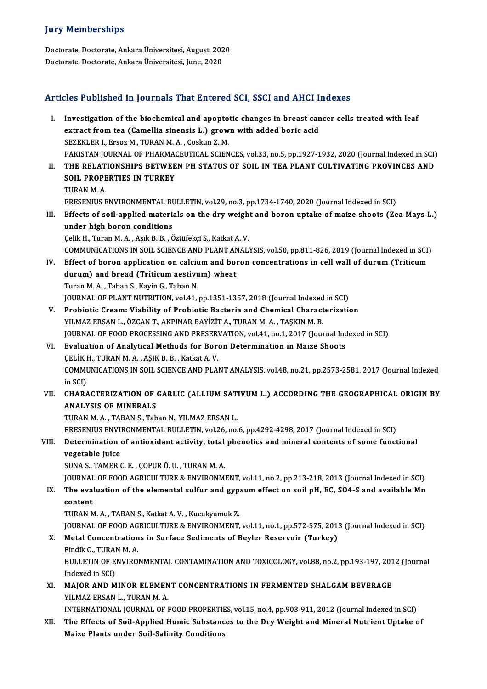### **Jury Memberships**

**Jury Memberships<br>Doctorate, Doctorate, Ankara Üniversitesi, August, 2020<br>Doctorate, Doctorate, Ankara Üniversitesi, June, 2020** Jury Trembersmps<br>Doctorate, Doctorate, Ankara Üniversitesi, August, 202<br>Doctorate, Doctorate, Ankara Üniversitesi, June, 2020

# Doctorate, Doctorate, Ankara Üniversitesi, June, 2020<br>Articles Published in Journals That Entered SCI, SSCI and AHCI Indexes

rticles Published in Journals That Entered SCI, SSCI and AHCI Indexes<br>I. Investigation of the biochemical and apoptotic changes in breast cancer cells treated with leaf<br>extract from too (Camellia sinongis L.) group with ad Investigation of the biochemical and apoptotic changes in breast can<br>extract from tea (Camellia sinensis L.) grown with added boric acid<br>SEZEVLED L EXOCAM TUDANMA COOPUS Z M Investigation of the biochemical and apopto<br>extract from tea (Camellia sinensis L.) grow<br>SEZEKLER I., Ersoz M., TURAN M.A., Coskun Z. M.<br>PAKISTAN JOURNAL OF PHARMACEUTICAL SCIEN extract from tea (Camellia sinensis L.) grown with added boric acid<br>SEZEKLER I., Ersoz M., TURAN M. A. , Coskun Z. M.<br>PAKISTAN JOURNAL OF PHARMACEUTICAL SCIENCES, vol.33, no.5, pp.1927-1932, 2020 (Journal Indexed in SCI) SEZEKLER I., Ersoz M., TURAN M. A. , Coskun Z. M.<br>PAKISTAN JOURNAL OF PHARMACEUTICAL SCIENCES, vol.33, no.5, pp.1927-1932, 2020 (Journal Indexed in SCI)<br>II. THE RELATIONSHIPS BETWEEN PH STATUS OF SOIL IN TEA PLANT CULTIVAT PAKISTAN JOURNAL OF PHARMA<br>THE RELATIONSHIPS BETWEE<br>SOIL PROPERTIES IN TURKEY<br>TURAN MA THE RELAT<br>SOIL PROPE<br>TURAN M. A.<br>ERESENIUS E SOIL PROPERTIES IN TURKEY<br>TURAN M. A.<br>FRESENIUS ENVIRONMENTAL BULLETIN, vol.29, no.3, pp.1734-1740, 2020 (Journal Indexed in SCI)<br>Effects of soil annlied materials on the dru weight and began untake of mairs sheets (7s I IRAN M. A.<br>FRESENIUS ENVIRONMENTAL BULLETIN, vol.29, no.3, pp.1734-1740, 2020 (Journal Indexed in SCI)<br>III. Effects of soil-applied materials on the dry weight and boron uptake of maize shoots (Zea Mays L.)<br>under high bo FRESENIUS ENVIRONMENTAL BUT<br>Effects of soil-applied materia<br>under high boron conditions Effects of soil-applied materials on the dry weigh<br>under high boron conditions<br>Çelik H., Turan M. A. , Aşık B. B. , Öztüfekçi S., Katkat A. V.<br>COMMUNICATIONS IN SOU, SCIENCE AND BLANT ANALI under high boron conditions<br>Çelik H., Turan M. A. , Aşık B. B. , Öztüfekçi S., Katkat A. V.<br>COMMUNICATIONS IN SOIL SCIENCE AND PLANT ANALYSIS, vol.50, pp.811-826, 2019 (Journal Indexed in SCI) Celik H., Turan M. A. , Aşık B. B. , Öztüfekçi S., Katkat A. V.<br>COMMUNICATIONS IN SOIL SCIENCE AND PLANT ANALYSIS, vol.50, pp.811-826, 2019 (Journal Indexed in SCI)<br>IV. Effect of boron application on calcium and boron conc COMMUNICATIONS IN SOIL SCIENCE AND PLANT ANT<br>Effect of boron application on calcium and bordurum) and bread (Triticum aestivum) wheat<br>Turan M.A., Taban S., Kavin C., Taban N Effect of boron application on calciu<br>durum) and bread (Triticum aestivu<br>Turan M. A., Taban S., Kayin G., Taban N.<br>JOUPMAL OF PLANT NUTPITION vol.41 durum) and bread (Triticum aestivum) wheat<br>Turan M. A. , Taban S., Kayin G., Taban N.<br>JOURNAL OF PLANT NUTRITION, vol.41, pp.1351-1357, 2018 (Journal Indexed in SCI) Turan M. A. , Taban S., Kayin G., Taban N.<br>JOURNAL OF PLANT NUTRITION, vol.41, pp.1351-1357, 2018 (Journal Indexed in SCI)<br>V. Probiotic Cream: Viability of Probiotic Bacteria and Chemical Characterization<br>V.U MAZ ERSAN J. JOURNAL OF PLANT NUTRITION, vol.41, pp.1351-1357, 2018 (Journal Indexed<br>Probiotic Cream: Viability of Probiotic Bacteria and Chemical Charact<br>YILMAZ ERSAN L., ÖZCAN T., AKPINAR BAYİZİT A., TURAN M. A. , TAŞKIN M. B.<br>JOURNA Probiotic Cream: Viability of Probiotic Bacteria and Chemical Characterization<br>YILMAZ ERSAN L., ÖZCAN T., AKPINAR BAYİZİT A., TURAN M. A. , TAŞKIN M. B.<br>JOURNAL OF FOOD PROCESSING AND PRESERVATION, vol.41, no.1, 2017 (Jour YILMAZ ERSAN L., ÖZCAN T., AKPINAR BAYİZİT A., TURAN M. A. , TAŞKIN M. B.<br>JOURNAL OF FOOD PROCESSING AND PRESERVATION, vol.41, no.1, 2017 (Journal Inc<br>VI. Evaluation of Analytical Methods for Boron Determination in Maize S JOURNAL OF FOOD PROCESSING AND PRESER<br>Evaluation of Analytical Methods for Bore<br>CELIK H., TURAN M.A., AŞIK B.B., Katkat A.V.<br>COMMUNICATIONS IN SOU, SCIENCE AND BLA. Evaluation of Analytical Methods for Boron Determination in Maize Shoots<br>ÇELİK H., TURAN M. A. , AŞIK B. B. , Katkat A. V.<br>COMMUNICATIONS IN SOIL SCIENCE AND PLANT ANALYSIS, vol.48, no.21, pp.2573-2581, 2017 (Journal Index CELIK I<br>COMMU<br>in SCI)<br>CHARA COMMUNICATIONS IN SOIL SCIENCE AND PLANT ANALYSIS, vol.48, no.21, pp.2573-2581, 2017 (Journal Indexed<br>in SCI)<br>VII. CHARACTERIZATION OF GARLIC (ALLIUM SATIVUM L.) ACCORDING THE GEOGRAPHICAL ORIGIN BY<br>ANALYSIS OF MINERALS in SCI)<br>CHARACTERIZATION OF (<br>ANALYSIS OF MINERALS<br>TURAN M.A. TABAN S. Teb CHARACTERIZATION OF GARLIC (ALLIUM SAT.<br>ANALYSIS OF MINERALS<br>TURAN M. A. , TABAN S., Taban N., YILMAZ ERSAN L.<br>ERESENIUS ENVIRONMENTAL PULLETIN 110.126, 20. ANALYSIS OF MINERALS<br>TURAN M. A. , TABAN S., Taban N., YILMAZ ERSAN L.<br>FRESENIUS ENVIRONMENTAL BULLETIN, vol.26, no.6, pp.4292-4298, 2017 (Journal Indexed in SCI) TURAN M. A. , TABAN S., Taban N., YILMAZ ERSAN L.<br>FRESENIUS ENVIRONMENTAL BULLETIN, vol.26, no.6, pp.4292-4298, 2017 (Journal Indexed in SCI)<br>VIII. Determination of antioxidant activity, total phenolics and mineral content FRESENIUS ENVI<br>Determination<br>vegetable juice<br>SUNAS TAMER ( Determination of antioxidant activity, total<br>vegetable juice<br>SUNA S., TAMER C. E. , ÇOPUR Ö. U. , TURAN M. A.<br>JOUPMAL OF FOOD ACPICULTURE & ENVIRONMI vegetable juice<br>SUNA S., TAMER C. E. , ÇOPUR Ö. U. , TURAN M. A.<br>JOURNAL OF FOOD AGRICULTURE & ENVIRONMENT, vol.11, no.2, pp.213-218, 2013 (Journal Indexed in SCI)<br>The evaluation of the alemantal sulfur and gunsum offect o SUNA S., TAMER C. E. , ÇOPUR Ö. U. , TURAN M. A.<br>JOURNAL OF FOOD AGRICULTURE & ENVIRONMENT, vol.11, no.2, pp.213-218, 2013 (Journal Indexed in SCI)<br>IX. The evaluation of the elemental sulfur and gypsum effect on soil pH, E **JOURNAL**<br>The eva<br>content<br>TUPANA IX. The evaluation of the elemental sulfur and gypsum effect on soil pH, EC, SO4-S and available Mn content<br>content<br>TURAN M. A. , TABAN S., Katkat A. V. , Kucukyumuk Z. content<br>TURAN M. A. , TABAN S., Katkat A. V. , Kucukyumuk Z.<br>JOURNAL OF FOOD AGRICULTURE & ENVIRONMENT, vol.11, no.1, pp.572-575, 2013 (Journal Indexed in SCI)<br>Metal Consentrations in Surface Sediments of Boylar Beserveir X. Metal Concentrations in Surface Sediments of Beyler Reservoir (Turkey) **JOURNAL OF FOOD AG<br>Metal Concentration<br>Findik O., TURAN M. A.<br>PULL ETIM OF ENVIROL** Metal Concentrations in Surface Sediments of Beyler Reservoir (Turkey)<br>Findik O., TURAN M. A.<br>BULLETIN OF ENVIRONMENTAL CONTAMINATION AND TOXICOLOGY, vol.88, no.2, pp.193-197, 2012 (Journal<br>Indeved in SCD. Findik O., TURAI<br>BULLETIN OF E<br>Indexed in SCI)<br>MAIOP AND M BULLETIN OF ENVIRONMENTAL CONTAMINATION AND TOXICOLOGY, vol.88, no.2, pp.193-197, 201<br>Indexed in SCI)<br>XI. MAJOR AND MINOR ELEMENT CONCENTRATIONS IN FERMENTED SHALGAM BEVERAGE<br>VILMAZERSAN L. TUPANM A Indexed in SCI)<br>XI. MAJOR AND MINOR ELEMENT CONCENTRATIONS IN FERMENTED SHALGAM BEVERAGE<br>YILMAZ ERSAN L., TURAN M. A. MAJOR AND MINOR ELEMENT CONCENTRATIONS IN FERMENTED SHALGAM BEVERAGE<br>YILMAZ ERSAN L., TURAN M. A.<br>INTERNATIONAL JOURNAL OF FOOD PROPERTIES, vol.15, no.4, pp.903-911, 2012 (Journal Indexed in SCI)<br>The Effects of Soil Annlie XII. The Effects of Soil-Applied Humic Substances to the Dry Weight and Mineral Nutrient Uptake of Maize Plants under Soil-Salinity Conditions INTERNATIONAL JOURNAL OF FOOD PROPERTII<br>The Effects of Soil-Applied Humic Substanc<br>Maize Plants under Soil-Salinity Conditions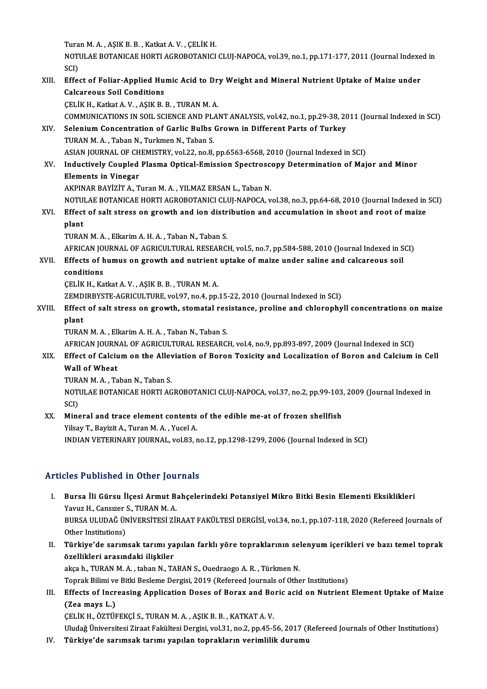Turan M.A., AŞIK B.B., Katkat A.V., ÇELİK H. Turan M. A. , AŞIK B. B. , Katkat A. V. , ÇELİK H.<br>NOTULAE BOTANICAE HORTI AGROBOTANICI CLUJ-NAPOCA, vol.39, no.1, pp.171-177, 2011 (Journal Indexed in Tura<br>NOTI<br>SCI)<br>Effe NOTULAE BOTANICAE HORTI AGROBOTANICI CLUJ-NAPOCA, vol.39, no.1, pp.171-177, 2011 (Journal Indexe<br>SCI)<br>XIII. Effect of Foliar-Applied Humic Acid to Dry Weight and Mineral Nutrient Uptake of Maize under<br>Calarneous Seil Condi SCI)<br>XIII. Effect of Foliar-Applied Humic Acid to Dry Weight and Mineral Nutrient Uptake of Maize under<br>Calcareous Soil Conditions ÇELİK H., Katkat A.V., AŞIK B.B., TURANM.A. Calcareous Soil Conditions<br>ÇELİK H., Katkat A. V. , AŞIK B. B. , TURAN M. A.<br>COMMUNICATIONS IN SOIL SCIENCE AND PLANT ANALYSIS, vol.42, no.1, pp.29-38, 2011 (Journal Indexed in SCI)<br>Selenium Concentration of Carlic Bulbe C XIV. Selenium Concentration of Garlic Bulbs Grown in Different Parts of Turkey<br>TURAN M. A., Taban N., Turkmen N., Taban S. COMMUNICATIONS IN SOIL SCIENCE AND PLAST<br>Selenium Concentration of Garlic Bulbs<br>TURAN M.A., Taban N., Turkmen N., Taban S. Selenium Concentration of Garlic Bulbs Grown in Different Parts of Turkey<br>TURAN M. A. , Taban N., Turkmen N., Taban S.<br>ASIAN JOURNAL OF CHEMISTRY, vol.22, no.8, pp.6563-6568, 2010 (Journal Indexed in SCI)<br>Industively Coupl TURAN M. A. , Taban N., Turkmen N., Taban S.<br>ASIAN JOURNAL OF CHEMISTRY, vol.22, no.8, pp.6563-6568, 2010 (Journal Indexed in SCI)<br>XV. Inductively Coupled Plasma Optical-Emission Spectroscopy Determination of Major and ASIAN JOURNAL OF CH<br>Inductively Coupled<br>Elements in Vinegar<br>AKBINAR BAVIZIT A Inductively Coupled Plasma Optical-Emission Spectrosce<br>Elements in Vinegar<br>AKPINAR BAYİZİT A., Turan M. A. , YILMAZ ERSAN L., Taban N.<br>NOTULAE BOTANICAE HOPTLACROPOTANICLELUI NAROCA Elements in Vinegar<br>AKPINAR BAYİZİT A., Turan M. A. , YILMAZ ERSAN L., Taban N.<br>NOTULAE BOTANICAE HORTI AGROBOTANICI CLUJ-NAPOCA, vol.38, no.3, pp.64-68, 2010 (Journal Indexed in SCI)<br>Effect of selt strees on grouth and jo AKPINAR BAYİZİT A., Turan M. A. , YILMAZ ERSAN L., Taban N.<br>NOTULAE BOTANICAE HORTI AGROBOTANICI CLUJ-NAPOCA, vol.38, no.3, pp.64-68, 2010 (Journal Indexed in<br>XVI. Effect of salt stress on growth and ion distribution a **NOTUE**<br>Effect<br>plant<br>TUP AL XVI. Effect of salt stress on growth and ion distribution and accumulation in shoot and root of maize<br>plant<br>TURAN M.A., Elkarim A. H.A., Taban N., Taban S. plant<br>TURAN M. A. , Elkarim A. H. A. , Taban N., Taban S.<br>AFRICAN JOURNAL OF AGRICULTURAL RESEARCH, vol.5, no.7, pp.584-588, 2010 (Journal Indexed in SCI)<br>Effects of humus on spouth and putrient untake of maire under selin TURAN M. A. , Elkarim A. H. A. , Taban N., Taban S.<br>AFRICAN JOURNAL OF AGRICULTURAL RESEARCH, vol.5, no.7, pp.584-588, 2010 (Journal Indexed in S<br>XVII. Effects of humus on growth and nutrient uptake of maize under saline a AFRICAN JO<br>Effects of h<br>conditions<br>CELIV H Vo Effects of humus on growth and nutrient<br>conditions<br>ÇELİK H., Katkat A. V. , AŞIK B. B. , TURAN M. A.<br>ZEMDIPPYSTE ACRICULTURE vol 97 no 4 nn conditions<br>ÇELİK H., Katkat A. V. , AŞIK B. B. , TURAN M. A.<br>ZEMDIRBYSTE-AGRICULTURE, vol.97, no.4, pp.15-22, 2010 (Journal Indexed in SCI) CELIK H., Katkat A. V. , AŞIK B. B. , TURAN M. A.<br>ZEMDIRBYSTE-AGRICULTURE, vol.97, no.4, pp.15-22, 2010 (Journal Indexed in SCI)<br>XVIII. Effect of salt stress on growth, stomatal resistance, proline and chlorophyll conc **ZEMD<br>Effect<br>plant**<br>TUP AP Effect of salt stress on growth, stomatal res<br>plant<br>TURAN M.A., Elkarim A. H.A., Taban N., Taban S.<br>AERICAN JOURNAL OF ACRICULTURAL RESEARC plant<br>TURAN M. A. , Elkarim A. H. A. , Taban N., Taban S.<br>AFRICAN JOURNAL OF AGRICULTURAL RESEARCH, vol.4, no.9, pp.893-897, 2009 (Journal Indexed in SCI)<br>Effect of Calsium on the Allevistion of Boron Tovisity and Logaliza TURAN M. A. , Elkarim A. H. A. , Taban N., Taban S.<br>AFRICAN JOURNAL OF AGRICULTURAL RESEARCH, vol.4, no.9, pp.893-897, 2009 (Journal Indexed in SCI)<br>XIX. Effect of Calcium on the Alleviation of Boron Toxicity and Localizat AFRICAN JOURN<br>Effect of Calciu<br>Wall of Wheat<br>TURAN M.A. To Effect of Calcium on the Alley<br>Wall of Wheat<br>TURAN M. A. , Taban N., Taban S.<br>NOTULAE BOTANICAE HOPTLAC NOTULAE BOTANICAE HORTI AGROBOTANICI CLUJ-NAPOCA, vol.37, no.2, pp.99-103, 2009 (Journal Indexed in SCI) TURA<br>NOTI<br>SCI)<br>Mine

XX. Mineral and trace element contents of the edible me-at of frozen shellfish Yilsay T., Bayizit A., Turan M. A., Yucel A. INDIAN VETERINARY JOURNAL, vol.83, no.12, pp.1298-1299, 2006 (Journal Indexed in SCI)

### Articles Published in Other Journals

- rticles Published in Other Journals<br>I. Bursa İli Gürsu İlçesi Armut Bahçelerindeki Potansiyel Mikro Bitki Besin Elementi Eksiklikleri<br>Yayuz H. Cansızer S. TURAN M.A XOS 1 denoncu in cener jou<br>Bursa İli Gürsu İlçesi Armut B.<br>Yavuz H., Cansızer S., TURAN M. A.<br>PURSA III UDAĞ ÜNİVERSİTESİ ZU Bursa İli Gürsu İlçesi Armut Bahçelerindeki Potansiyel Mikro Bitki Besin Elementi Eksiklikleri<br>Yavuz H., Cansızer S., TURAN M. A.<br>BURSA ULUDAĞ ÜNİVERSİTESİ ZİRAAT FAKÜLTESİ DERGİSİ, vol.34, no.1, pp.107-118, 2020 (Refereed Yavuz H., Cansızer (†<br>BURSA ULUDAĞ ÜN<br>Other Institutions)<br>Türkiye'de sarum BURSA ULUDAĞ ÜNİVERSİTESİ ZİRAAT FAKÜLTESİ DERGİSİ, vol.34, no.1, pp.107-118, 2020 (Refereed Journals of Other Institutions)<br>II. Türkiye'de sarımsak tarımı yapılan farklı yöre topraklarının selenyum içerikleri ve bazı teme
- Other Institutions)<br>Türkiye'de sarımsak tarımı ya<br>özellikleri arasındaki ilişkiler<br>akash, TIBAN M.A. taban N. T.A Türkiye'de sarımsak tarımı yapılan farklı yöre topraklarının sel<br>özellikleri arasındaki ilişkiler<br>akça h., TURAN M. A. , taban N., TABAN S., Ouedraogo A. R. , Türkmen N.<br>Tennek Bilimi ve Bitki Beeleme Dergisi 2019 (Beferee özellikleri arasındaki ilişkiler<br>akça h., TURAN M. A. , taban N., TABAN S., Ouedraogo A. R. , Türkmen N.<br>Toprak Bilimi ve Bitki Besleme Dergisi, 2019 (Refereed Journals of Other Institutions)

akça h., TURAN M. A. , taban N., TABAN S., Ouedraogo A. R. , Türkmen N.<br>Toprak Bilimi ve Bitki Besleme Dergisi, 2019 (Refereed Journals of Other Institutions)<br>III. Effects of Increasing Application Doses of Borax and Boric Toprak Bilimi ve<br><mark>Effects of Incr</mark><br>(Zea mays L.)<br>CELiv H. ÖZTÜL (Zea mays L.)<br>ÇELİK H., ÖZTÜFEKÇİ S., TURAN M. A. , AŞIK B. B. , KATKAT A. V.

Uludağ Üniversitesi Ziraat Fakültesi Dergisi, vol.31, no.2, pp.45-56, 2017 (Refereed Journals of Other Institutions)

IV. Türkiye'de sarımsak tarımı yapılan toprakların verimlilik durumu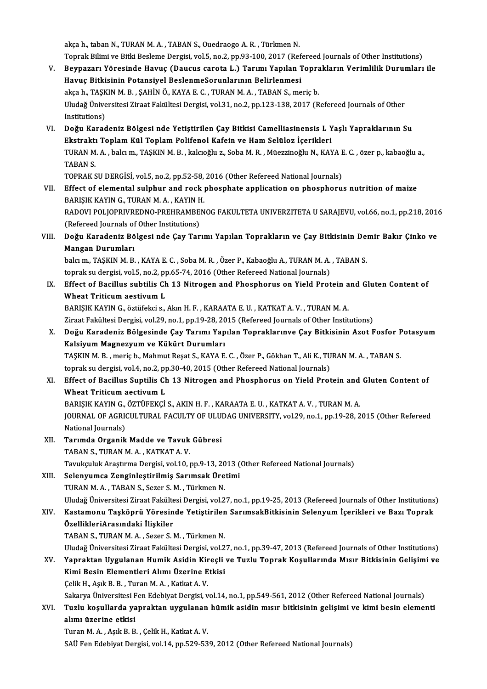akça h., taban N., TURAN M. A., TABAN S., Ouedraogo A. R., Türkmen N. akça h., taban N., TURAN M. A. , TABAN S., Ouedraogo A. R. , Türkmen N.<br>Toprak Bilimi ve Bitki Besleme Dergisi, vol.5, no.2, pp.93-100, 2017 (Refereed Journals of Other Institutions)<br>Beynagan: Vänasinde Hawye (Dewaye sanat

- akça h., taban N., TURAN M. A. , TABAN S., Ouedraogo A. R. , Türkmen N.<br>Toprak Bilimi ve Bitki Besleme Dergisi, vol.5, no.2, pp.93-100, 2017 (Refereed Journals of Other Institutions)<br>V. Beypazarı Yöresinde Havuç (Daucus ca Toprak Bilimi ve Bitki Besleme Dergisi, vol.5, no.2, pp.93-100, 2017 (Ref<br>Beypazarı Yöresinde Havuç (Daucus carota L.) Tarımı Yapılan 1<br>Havuç Bitkisinin Potansiyel BeslenmeSorunlarının Belirlenmesi<br>aksa b. TASKIN M.B. SAHİ V. Beypazarı Yöresinde Havuç (Daucus carota L.) Tarımı Yapılan Toprakların Verimlilik Durumları ile<br>Havuç Bitkisinin Potansiyel BeslenmeSorunlarının Belirlenmesi Uludağ Üniversitesi Ziraat Fakültesi Dergisi, vol.31, no.2, pp.123-138, 2017 (Refereed Journals of Other Institutions) akça h., TAŞKIN M. B., ŞAHİN Ö., KAYA E. C., TURAN M. A., TABAN S., meriç b. Uludağ Üniversitesi Ziraat Fakültesi Dergisi, vol.31, no.2, pp.123-138, 2017 (Refereed Journals of Other<br>Institutions)<br>VI. Doğu Karadeniz Bölgesi nde Yetiştirilen Çay Bitkisi Camelliasinensis L Yaşlı Yapraklarının Su<br>Ekstr
- Institutions)<br>Doğu Karadeniz Bölgesi nde Yetiştirilen Çay Bitkisi Camelliasinensis L Y<br>Ekstraktı Toplam Kül Toplam Polifenol Kafein ve Ham Selüloz İçerikleri<br>TURAN M.A., bakım, TASKIN M.B., kakıya Soba M.B., Müergineğlu N. Doğu Karadeniz Bölgesi nde Yetiştirilen Çay Bitkisi Camelliasinensis L Yaşlı Yapraklarının Su<br>Ekstraktı Toplam Kül Toplam Polifenol Kafein ve Ham Selüloz İçerikleri<br>TURAN M. A. , balcı m., TAŞKIN M. B. , kalcıoğlu z., Soba Ekstrakt<br>TURAN M<br>TABAN S.<br>TOPPAK S TURAN M. A. , balcı m., TAŞKIN M. B. , kalcıoğlu z., Soba M. R. , Müezzinoğlu N., KAYA E<br>TABAN S.<br>TOPRAK SU DERGİSİ, vol.5, no.2, pp.52-58, 2016 (Other Refereed National Journals)<br>Effect of alemantal sulphur and resk phoep TABAN S.<br>TOPRAK SU DERGISI, vol.5, no.2, pp.52-58, 2016 (Other Refereed National Journals)<br>VII. Effect of elemental sulphur and rock phosphate application on phosphorus nutrition of maize

TOPRAK SU DERGISI, vol.5, no.2, pp.52-58,<br>Effect of elemental sulphur and rock <sub>]</sub><br>BARIŞIK KAYIN G., TURAN M. A. , KAYIN H.<br>BADOVI POLIOPRIVEEDNO PREHRAMEEN RADOVI POLJOPRIVREDNO-PREHRAMBENOG FAKULTETA UNIVERZITETA U SARAJEVU, vol.66, no.1, pp.218, 2016<br>(Refereed Journals of Other Institutions) BARIŞIK KAYIN G., TURAN M. A. , KAYIN F<br>RADOVI POLJOPRIVREDNO-PREHRAMBE<br>(Refereed Journals of Other Institutions)<br>Doğu Kanadaniz Bölgesi nde Gay Tan RADOVI POLJOPRIVREDNO-PREHRAMBENOG FAKULTETA UNIVERZITETA U SARAJEVU, vol.66, no.1, pp.218, 2014<br>(Refereed Journals of Other Institutions)<br>VIII. Doğu Karadeniz Bölgesi nde Çay Tarımı Yapılan Toprakların ve Çay Bitkisin

# (Refereed Journals of<br>Doğu Karadeniz Bö<br>Mangan Durumları<br>bekum TASKIN M B Doğu Karadeniz Bölgesi nde Çay Tarımı Yapılan Toprakların ve Çay Bitkisinin De:<br>Mangan Durumları<br>balcım., TAŞKIN M.B. , KAYA E. C. , Soba M. R. , Özer P., Kabaoğlu A., TURAN M. A. , TABAN S.<br>tanrak su darsisi yal 5 na 2 nn

Mangan Durumları<br>balcı m., TAŞKIN M. B. , KAYA E. C. , Soba M. R. , Özer P., Kabaoğlu A., TURAN M. A. , TABAN S. toprak su dergisi, vol.5, no.2, pp.65-74, 2016 (Other Refereed National Journals)

## IX. Effect of Bacillus subtilis Ch 13 Nitrogen and Phosphorus on Yield Protein and Gluten Content of Wheat Triticum aestivum L

BARIŞIK KAYIN G., öztüfekci s., Akın H. F., KARAATA E. U., KATKAT A. V., TURAN M. A. Wheat Triticum aestivum L<br>BARIŞIK KAYIN G., öztüfekci s., Akın H. F. , KARAATA E. U. , KATKAT A. V. , TURAN M. A.<br>Ziraat Fakültesi Dergisi, vol.29, no.1, pp.19-28, 2015 (Refereed Journals of Other Institutions)<br>Doğu Karado

X. Doğu Karadeniz Bölgesinde Çay Tarımı Yapılan Topraklarınve Çay Bitkisinin Azot Fosfor Potasyum Ziraat Fakültesi Dergisi, vol.29, no.1, pp.19-28, 20<br>Doğu Karadeniz Bölgesinde Çay Tarımı Yap<br>Kalsiyum Magnezyum ve Kükürt Durumları<br>TASKIN M.P., merish, Mahmut Beest S. KAVA E Doğu Karadeniz Bölgesinde Çay Tarımı Yapılan Topraklarınve Çay Bitkisinin Azot Fosfor F<br>Kalsiyum Magnezyum ve Kükürt Durumları<br>TAŞKIN M.B., meriç b., Mahmut Reşat S., KAYA E. C. , Özer P., Gökhan T., Ali K., TURAN M. A. ,

Kalsiyum Magnezyum ve Kükürt Durumları<br>TAŞKIN M. B. , meriç b., Mahmut Reşat S., KAYA E. C. , Özer P., Gökhan T., Ali K., TU<br>toprak su dergisi, vol.4, no.2, pp.30-40, 2015 (Other Refereed National Journals)<br>Effect of Bosil TAŞKIN M. B. , meriç b., Mahmut Reşat S., KAYA E. C. , Özer P., Gökhan T., Ali K., TURAN M. A. , TABAN S.<br>toprak su dergisi, vol.4, no.2, pp.30-40, 2015 (Other Refereed National Journals)<br>XI. Effect of Bacillus Suptilis Ch

# toprak su dergisi, vol.4, no.2, p<sub>l</sub><br>Effect of Bacillus Suptilis Cl<br>Wheat Triticum aectivum L<br>RARISIV VAVIN C. ÖZTÜEEVCİ Effect of Bacillus Suptilis Ch 13 Nitrogen and Phosphorus on Yield Protein and<br>Wheat Triticum aectivum L<br>BARIŞIK KAYIN G., ÖZTÜFEKÇİ S., AKIN H. F. , KARAATA E. U. , KATKAT A. V. , TURAN M. A.<br>JOUPMAL OF ACRICULTIPAL FACUL

Wheat Triticum aectivum L<br>BARIȘIK KAYIN G., ÖZTÜFEKÇİ S., AKIN H. F. , KARAATA E. U. , KATKAT A. V. , TURAN M. A.<br>JOURNAL OF AGRICULTURAL FACULTY OF ULUDAG UNIVERSITY, vol.29, no.1, pp.19-28, 2015 (Other Refereed<br>National BARIŞIK KAYIN G.,<br>JOURNAL OF AGRI<br>National Journals)<br>Toumde Orgenik JOURNAL OF AGRICULTURAL FACULTY OF ULUS<br>National Journals)<br>XII. Tarımda Organik Madde ve Tavuk Gübresi<br>TARAN S. TURAN M.A. KATKAT A.V.

- National Journals)<br>Tarımda Organik Madde ve Tavuk Gübresi<br>TABAN S., TURAN M. A. , KATKAT A. V. Tavukçuluk Araştırma Dergisi, vol.10, pp.9-13, 2013 (Other Refereed National Journals)
- XIII. Selenyumca Zenginleştirilmiş Sarımsak Üretimi TURAN M.A., TABAN S., Sezer S.M., Türkmen N. Uludağ Üniversitesi Ziraat Fakültesi Dergisi, vol.27, no.1, pp.19-25, 2013 (Refereed Journals of Other Institutions) TURAN M. A. , TABAN S., Sezer S. M. , Türkmen N.<br>Uludağ Üniversitesi Ziraat Fakültesi Dergisi, vol.27, no.1, pp.19-25, 2013 (Refereed Journals of Other Institutions<br>XIV. Kastamonu Taşköprü Yöresinde Yetiştirilen Sarıms

ÖzellikleriArasındaki İlişkiler<br>TABAN S., TURAN M. A. , Sezer S. M. , Türkmen N. Kastamonu Taşköprü Yöresinde Yetiştirilen<br>ÖzellikleriArasındaki İlişkiler<br>TABAN S., TURAN M. A. , Sezer S. M. , Türkmen N.<br>Uludağ Üniversitesi Zirast Fakültesi Dergisi vel 2 ÖzellikleriArasındaki İlişkiler<br>TABAN S., TURAN M. A. , Sezer S. M. , Türkmen N.<br>Uludağ Üniversitesi Ziraat Fakültesi Dergisi, vol.27, no.1, pp.39-47, 2013 (Refereed Journals of Other Institutions)<br>Yannaktan Hygulanan Humi

TABAN S., TURAN M. A. , Sezer S. M. , Türkmen N.<br>Uludağ Üniversitesi Ziraat Fakültesi Dergisi, vol.27, no.1, pp.39-47, 2013 (Refereed Journals of Other Institutions)<br>XV. Yapraktan Uygulanan Humik Asidin Kireçli ve Tuzl Uludağ Üniversitesi Ziraat Fakültesi Dergisi, vol.2<br>Yapraktan Uygulanan Humik Asidin Kireçli<br>Kimi Besin Elementleri Alımı Üzerine Etkisi<br>Celik H. Asık B. B. Turan M. A. Katkat A. V. XV. Yapraktan Uygulanan Humik Asidin Kireçli ve Tuzlu Toprak Koşullarında Mısır Bitkisinin Gelişimi ve<br>Kimi Besin Elementleri Alımı Üzerine Etkisi<br>Celik H., Asık B. B. , Turan M. A. , Katkat A. V.

Sakarya Üniversitesi Fen Edebiyat Dergisi, vol.14, no.1, pp.549-561, 2012 (Other Refereed National Journals)

### Celik H., Aşık B. B. , Turan M. A. , Katkat A. V.<br>Sakarya Üniversitesi Fen Edebiyat Dergisi, vol.14, no.1, pp.549-561, 2012 (Other Refereed National Journals)<br>XVI. Tuzlu koşullarda yapraktan uygulanan hümik asidin mısı Sakarya Üniversitesi F<br>Tuzlu koşullarda ya<br>alımı üzerine etkisi<br>Turan M.A. Asık B. B Tuzlu koşullarda yapraktan uygulanan<br>alımı üzerine etkisi<br>Turan M. A. , Aşık B. B. , Çelik H., Katkat A. V.<br>SAÜ Fen Edebiyat Dengisi vel 14. np 520.52

alımı üzerine etkisi<br>Turan M. A. , Aşık B. B. , Çelik H., Katkat A. V.<br>SAÜ Fen Edebiyat Dergisi, vol.14, pp.529-539, 2012 (Other Refereed National Journals)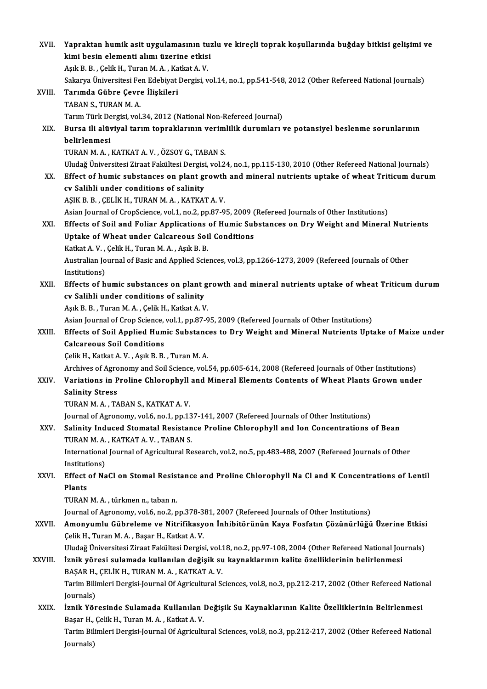| XVII.   | Yapraktan humik asit uygulamasının tuzlu ve kireçli toprak koşullarında buğday bitkisi gelişimi ve               |
|---------|------------------------------------------------------------------------------------------------------------------|
|         | kimi besin elementi alımı üzerine etkisi                                                                         |
|         | Aşık B. B., Çelik H., Turan M. A., Katkat A. V.                                                                  |
|         | Sakarya Üniversitesi Fen Edebiyat Dergisi, vol.14, no.1, pp.541-548, 2012 (Other Refereed National Journals)     |
| XVIII.  | Tarımda Gübre Çevre İlişkileri                                                                                   |
|         | TABAN S., TURAN M. A.                                                                                            |
|         | Tarım Türk Dergisi, vol.34, 2012 (National Non-Refereed Journal)                                                 |
| XIX.    | Bursa ili alüviyal tarım topraklarının verimlilik durumları ve potansiyel beslenme sorunlarının                  |
|         | belirlenmesi                                                                                                     |
|         | TURAN M.A., KATKAT A.V., ÖZSOY G., TABAN S.                                                                      |
|         | Uludağ Üniversitesi Ziraat Fakültesi Dergisi, vol.24, no.1, pp.115-130, 2010 (Other Refereed National Journals)  |
| XX.     | Effect of humic substances on plant growth and mineral nutrients uptake of wheat Triticum durum                  |
|         | cv Salihli under conditions of salinity                                                                          |
|         | AŞIK B. B., ÇELİK H., TURAN M. A., KATKAT A. V.                                                                  |
|         | Asian Journal of CropScience, vol.1, no.2, pp.87-95, 2009 (Refereed Journals of Other Institutions)              |
| XXI.    | Effects of Soil and Foliar Applications of Humic Substances on Dry Weight and Mineral Nutrients                  |
|         | Uptake of Wheat under Calcareous Soil Conditions                                                                 |
|         | Katkat A.V., Çelik H., Turan M.A., Aşık B.B.                                                                     |
|         | Australian Journal of Basic and Applied Sciences, vol.3, pp.1266-1273, 2009 (Refereed Journals of Other          |
|         | Institutions)                                                                                                    |
| XXII.   | Effects of humic substances on plant growth and mineral nutrients uptake of wheat Triticum durum                 |
|         | cv Salihli under conditions of salinity                                                                          |
|         | Aşık B. B., Turan M. A., Çelik H., Katkat A. V.                                                                  |
|         | Asian Journal of Crop Science, vol.1, pp.87-95, 2009 (Refereed Journals of Other Institutions)                   |
| XXIII.  | Effects of Soil Applied Humic Substances to Dry Weight and Mineral Nutrients Uptake of Maize under               |
|         | <b>Calcareous Soil Conditions</b>                                                                                |
|         | Çelik H., Katkat A. V., Aşık B. B., Turan M. A.                                                                  |
|         | Archives of Agronomy and Soil Science, vol.54, pp.605-614, 2008 (Refereed Journals of Other Institutions)        |
| XXIV    | Variations in Proline Chlorophyll and Mineral Elements Contents of Wheat Plants Grown under                      |
|         | <b>Salinity Stress</b>                                                                                           |
|         | TURAN M.A., TABAN S., KATKAT A.V.                                                                                |
|         | Journal of Agronomy, vol.6, no.1, pp.137-141, 2007 (Refereed Journals of Other Institutions)                     |
| XXV.    | Salinity Induced Stomatal Resistance Proline Chlorophyll and Ion Concentrations of Bean                          |
|         | TURAN M.A., KATKAT A.V., TABAN S.                                                                                |
|         | International Journal of Agricultural Research, vol.2, no.5, pp.483-488, 2007 (Refereed Journals of Other        |
|         | Institutions)                                                                                                    |
| XXVI.   | Effect of NaCl on Stomal Resistance and Proline Chlorophyll Na Cl and K Concentrations of Lentil                 |
|         | Plants                                                                                                           |
|         | TURAN M.A., türkmen n., taban n.                                                                                 |
|         | Journal of Agronomy, vol.6, no.2, pp.378-381, 2007 (Refereed Journals of Other Institutions)                     |
| XXVII.  | Amonyumlu Gübreleme ve Nitrifikasyon İnhibitörünün Kaya Fosfatın Çözünürlüğü Üzerine Etkisi                      |
|         | Çelik H., Turan M. A., Başar H., Katkat A. V.                                                                    |
|         | Uludağ Üniversitesi Ziraat Fakültesi Dergisi, vol.18, no.2, pp.97-108, 2004 (Other Refereed National Journals)   |
| XXVIII. | İznik yöresi sulamada kullanılan değişik su kaynaklarının kalite özelliklerinin belirlenmesi                     |
|         | BAŞAR H., ÇELİK H., TURAN M. A., KATKAT A. V.                                                                    |
|         | Tarim Bilimleri Dergisi-Journal Of Agricultural Sciences, vol.8, no.3, pp.212-217, 2002 (Other Refereed National |
|         | Journals)                                                                                                        |
| XXIX.   | İznik Yöresinde Sulamada Kullanılan Değişik Su Kaynaklarının Kalite Özelliklerinin Belirlenmesi                  |
|         | Başar H., Çelik H., Turan M. A., Katkat A. V.                                                                    |
|         | Tarim Bilimleri Dergisi-Journal Of Agricultural Sciences, vol.8, no.3, pp.212-217, 2002 (Other Refereed National |
|         | Journals)                                                                                                        |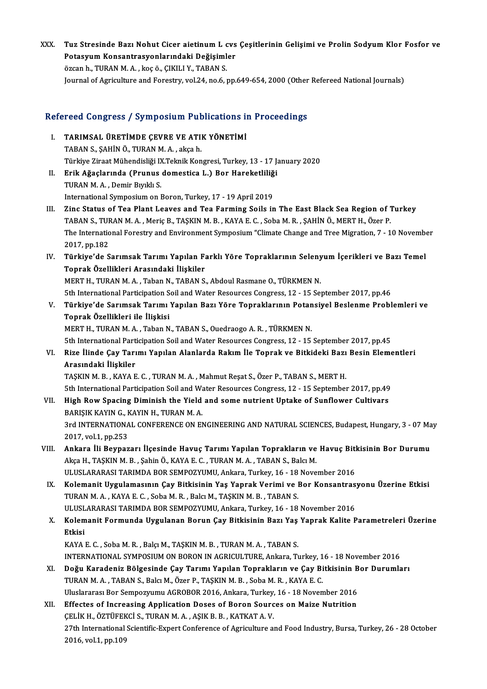XXX. Tuz Stresinde Bazı Nohut Cicer aietinum L cvs Çeşitlerinin Gelişimi ve Prolin Sodyum Klor Fosfor ve<br>Retesuum Konsantrasyonlarındaki Değişimler Tuz Stresinde Bazı Nohut Cicer aietinum L cvs<br>Potasyum Konsantrasyonlarındaki Değişimler<br>ÖZSPR b. TURAN M.A., İSS Ö, CIKU LV, TARAN S Tuz Stresinde Bazı Nohut Cicer aietinum L c<br>Potasyum Konsantrasyonlarındaki Değişiml<br>özcan h., TURAN M. A. , koç ö., ÇIKILI Y., TABAN S.<br>Journal of Agriculture and Forestru val 24 no 6 . Potasyum Konsantrasyonlarındaki Değişimler<br>özcan h., TURAN M. A. , koç ö., ÇIKILI Y., TABAN S.<br>Journal of Agriculture and Forestry, vol.24, no.6, pp.649-654, 2000 (Other Refereed National Journals)

# 100 yournal of Agriculture and Porestry, vol.24, no.6, pp.649-654, 2000<br>Refereed Congress / Symposium Publications in Proceedings

- Efereed Congress / Symposium Publications in<br>I. TARIMSAL ÜRETİMDE ÇEVRE VE ATIK YÖNETİMİ I. TARIMSAL ÜRETİMDE ÇEVRE VE ATIK YÖNETİMİ<br>TABAN S., SAHİN Ö., TURAN M. A. , akça h. Türkiye Ziraat Mühendisliği IX.Teknik Kongresi, Turkey, 13 - 17 January 2020 TABAN S., ŞAHİN Ö., TURAN M. A. , akça h.<br>Türkiye Ziraat Mühendisliği IX.Teknik Kongresi, Turkey, 13 - 17 J.<br>II. Erik Ağaçlarında (Prunus domestica L.) Bor Hareketliliği<br>TUBAN M. A. Domir Burkh S.
- Türkiye Ziraat Mühendisliği I<mark>)</mark><br>Erik Ağaçlarında (Prunus<br>TURAN M.A. , Demir Bıyıklı S.<br>International Sumnesium en I Erik Ağaçlarında (Prunus domestica L.) Bor Hareketliliğ<br>TURAN M. A. , Demir Bıyıklı S.<br>International Symposium on Boron, Turkey, 17 - 19 April 2019<br>Zine Status of Tee Plant Leaves and Tee Ferming Soile in
- TURAN M. A. , Demir Biyikli S.<br>International Symposium on Boron, Turkey, 17 19 April 2019<br>III. Zinc Status of Tea Plant Leaves and Tea Farming Soils in The East Black Sea Region of Turkey<br>TARAN S. TURAN M. A. Morie B. TA International Symposium on Boron, Turkey, 17 - 19 April 2019<br>Zinc Status of Tea Plant Leaves and Tea Farming Soils in The East Black Sea Region of 1<br>TABAN S., TURAN M. A. , Meric B., TAŞKIN M. B. , KAYA E. C. , Soba M. R. Zinc Status of Tea Plant Leaves and Tea Farming Soils in The East Black Sea Region of Turkey<br>TABAN S., TURAN M. A. , Meriç B., TAŞKIN M. B. , KAYA E. C. , Soba M. R. , ŞAHİN Ö., MERT H., Özer P.<br>The International Forestry TABAN S., TUF<br>The Internatio<br>2017, pp.182<br>Türkiye'de S The International Forestry and Environment Symposium "Climate Change and Tree Migration, 7 - 10 November 2017, pp.182<br>IV. Türkiye'de Sarımsak Tarımı Yapılan Farklı Yöre Topraklarının Selenyum İçerikleri ve Bazı Temel<br>Tenna
- 2017, pp.182<br>IV. Türkiye'de Sarımsak Tarımı Yapılan Farklı Yöre Topraklarının Selenyum İçerikleri ve Bazı Temel<br>Toprak Özellikleri Arasındaki İlişkiler MERT H., TURAN M. A., Taban N., TABAN S., Abdoul Rasmane O., TÜRKMEN N. 5th International Participation Soil and Water Resources Congress, 12 - 15 September 2017, pp.46 MERT H., TURAN M. A. , Taban N., TABAN S., Abdoul Rasmane O., TÜRKMEN N.<br>5th International Participation Soil and Water Resources Congress, 12 - 15 September 2017, pp.46<br>7. Türkiye'de Sarımsak Tarımı Yapılan Bazı Yöre Topr
- 5th International Participation S<br>Türkiye'de Sarımsak Tarımı<br>Toprak Özellikleri ile İlişkisi<br>MERTH TURANMA Taban N Toprak Özellikleri ile İlişkisi<br>MERT H., TURAN M. A. , Taban N., TABAN S., Ouedraogo A. R. , TÜRKMEN N.

5th International Participation Soil and Water Resources Congress, 12 - 15 September 2017, pp.45

### MERT H., TURAN M. A. , Taban N., TABAN S., Ouedraogo A. R. , TÜRKMEN N.<br>5th International Participation Soil and Water Resources Congress, 12 - 15 September 2017, pp.45<br>VI. Rize İlinde Çay Tarımı Yapılan Alanlarda Rakı 5th International Part<br>Rize İlinde Çay Tarı<br>Arasındaki İlişkiler<br>TASKIN M B - KAVA E Rize İlinde Çay Tarımı Yapılan Alanlarda Rakım İle Toprak ve Bitkideki Bazı<br>Arasındaki İlişkiler<br>TAŞKIN M.B., KAYA E.C., TURAN M.A., Mahmut Reşat S., Özer P., TABAN S., MERT H.<br>Eth International Perticipation Seil and Wate

Arasındaki İlişkiler<br>TAŞKIN M. B. , KAYA E. C. , TURAN M. A. , Mahmut Reşat S., Özer P., TABAN S., MERT H.<br>5th International Participation Soil and Water Resources Congress, 12 - 15 September 2017, pp.49<br>High Bouy Specing TAŞKIN M. B. , KAYA E. C. , TURAN M. A. , Mahmut Reşat S., Özer P., TABAN S., MERT H.<br>5th International Participation Soil and Water Resources Congress, 12 - 15 September 2017, pp.49<br>VII. High Row Spacing Diminish the Yiel

- 5th International Participation Soil and Wa<br>High Row Spacing Diminish the Yield<br>BARIŞIK KAYIN G., KAYIN H., TURAN M. A.<br>2rd INTERNATIONAL CONEERENCE ON EL High Row Spacing Diminish the Yield and some nutrient Uptake of Sunflower Cultivars<br>BARIŞIK KAYIN G., KAYIN H., TURAN M. A.<br>3rd INTERNATIONAL CONFERENCE ON ENGINEERING AND NATURAL SCIENCES, Budapest, Hungary, 3 - 07 May<br>20 BARIŞIK KAYIN G., F<br>3rd INTERNATIONA<br>2017, vol.1, pp.253<br>Ankara İli Baynar 3rd INTERNATIONAL CONFERENCE ON ENGINEERING AND NATURAL SCIENCES, Budapest, Hungary, 3 - 07 Ma<br>2017, vol.1, pp.253<br>VIII. Ankara İli Beypazarı İlçesinde Havuç Tarımı Yapılan Toprakların ve Havuç Bitkisinin Bor Durumu<br>Altes
- 2017, vol.1, pp.253<br>Ankara İli Beypazarı İlçesinde Havuç Tarımı Yapılan Toprakların ve<br>Akça H., TAŞKIN M. B. , Şahin Ö., KAYA E. C. , TURAN M. A. , TABAN S., Balcı M.<br>ULUSLARARASLTARIMDA ROR SEMBOZVUML Ankara Turkey 16 , 1 Ankara İli Beypazarı İlçesinde Havuç Tarımı Yapılan Toprakların ve Havuç Bitl<br>Akça H., TAŞKIN M. B. , Şahin Ö., KAYA E. C. , TURAN M. A. , TABAN S., Balcı M.<br>ULUSLARARASI TARIMDA BOR SEMPOZYUMU, Ankara, Turkey, 16 - 18 Nov Akça H., TAŞKIN M. B. , Şahin Ö., KAYA E. C. , TURAN M. A. , TABAN S., Balcı M.<br>ULUSLARARASI TARIMDA BOR SEMPOZYUMU, Ankara, Turkey, 16 - 18 November 2016<br>IX. Kolemanit Uygulamasının Çay Bitkisinin Yaş Yaprak Verimi ve
- TURANM.A. ,KAYAE.C. ,SobaM.R. ,BalcıM.,TAŞKINM.B. ,TABANS. Kolemanit Uygulamasının Çay Bitkisinin Yaş Yaprak Verimi ve Bor Konsantras<sub>i</sub><br>TURAN M. A. , KAYA E. C. , Soba M. R. , Balcı M., TAŞKIN M. B. , TABAN S.<br>ULUSLARARASI TARIMDA BOR SEMPOZYUMU, Ankara, Turkey, 16 - 18 November TURAN M. A. , KAYA E. C. , Soba M. R. , Balcı M., TAŞKIN M. B. , TABAN S.<br>ULUSLARARASI TARIMDA BOR SEMPOZYUMU, Ankara, Turkey, 16 - 18 November 2016<br>X. Kolemanit Formunda Uygulanan Borun Çay Bitkisinin Bazı Yaş Yaprak
- ULUSL<br><mark>Kolem</mark><br>Etkisi<br>KAVA Kolemanit Formunda Uygulanan Borun Çay Bitkisinin Bazı Yaş<br>Etkisi<br>KAYA E. C. , Soba M. R. , Balçı M., TAŞKIN M. B. , TURAN M. A. , TABAN S.<br>INTERNATIONAL SYMPOSUIM ON PORON IN ACRICULTURE Ankara T.

Etkisi<br>KAYA E. C. , Soba M. R. , Balçı M., TAŞKIN M. B. , TURAN M. A. , TABAN S.<br>INTERNATIONAL SYMPOSIUM ON BORON IN AGRICULTURE, Ankara, Turkey, 16 - 18 November 2016 KAYA E. C. , Soba M. R. , Balçı M., TAŞKIN M. B. , TURAN M. A. , TABAN S.<br>INTERNATIONAL SYMPOSIUM ON BORON IN AGRICULTURE, Ankara, Turkey, 16 - 18 November 2016<br>XI. Doğu Karadeniz Bölgesinde Çay Tarımı Yapılan Toprakların

- INTERNATIONAL SYMPOSIUM ON BORON IN AGRICULTURE, Ankara, Turkey, 1<br>Doğu Karadeniz Bölgesinde Çay Tarımı Yapılan Toprakların ve Çay Bi<br>TURAN M. A. , TABAN S., Balcı M., Özer P., TAŞKIN M. B. , Soba M. R. , KAYA E. C.<br>Ulusla Doğu Karadeniz Bölgesinde Çay Tarımı Yapılan Toprakların ve Çay Bitkisinin B<br>TURAN M. A. , TABAN S., Balcı M., Özer P., TAŞKIN M. B. , Soba M. R. , KAYA E. C.<br>Uluslararası Bor Sempozyumu AGROBOR 2016, Ankara, Turkey, 16 - TURAN M. A. , TABAN S., Balcı M., Özer P., TAŞKIN M. B. , Soba M. R. , KAYA E. C.<br>Uluslararası Bor Sempozyumu AGROBOR 2016, Ankara, Turkey, 16 - 18 November 2016<br>XII. Effectes of Increasing Application Doses of Boron Sourc
- Uluslararası Bor Sempozyumu AGROBOR 2016, Ankara, Turkey,<br>Effectes of Increasing Application Doses of Boron Sourc<br>ÇELİK H., ÖZTÜFEKCİ S., TURAN M. A. , AŞIK B. B. , KATKAT A. V.<br>27th International Scientific Expect Confere 27th International Scientific-Expert Conference of Agriculture and Food Industry, Bursa, Turkey, 26 - 28 October<br>2016, vol.1, pp.109 ÇELİK H., ÖZTÜFEK<br>27th International<br>2016, vol.1, pp.109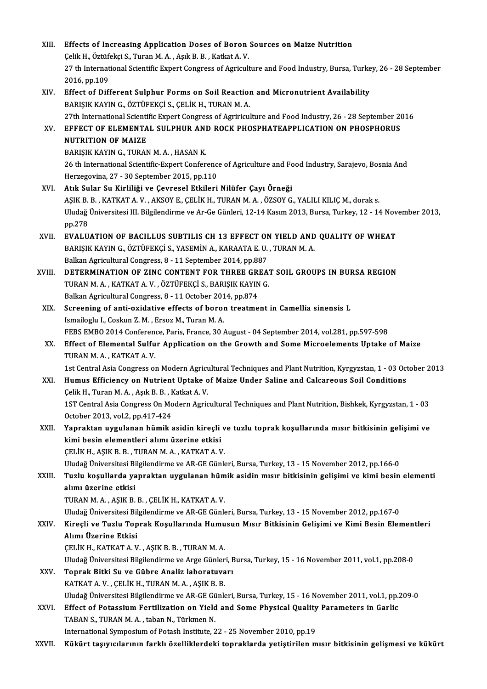| XIII.       | Effects of Increasing Application Doses of Boron Sources on Maize Nutrition                                                                            |
|-------------|--------------------------------------------------------------------------------------------------------------------------------------------------------|
|             | Çelik H., Öztüfekçi S., Turan M. A., Aşık B. B., Katkat A. V.                                                                                          |
|             | 27 th International Scientific Expert Congress of Agriculture and Food Industry, Bursa, Turkey, 26 - 28 September                                      |
|             | 2016, pp 109                                                                                                                                           |
| XIV.<br>XV. | Effect of Different Sulphur Forms on Soil Reaction and Micronutrient Availability                                                                      |
|             | BARIŞIK KAYIN G., ÖZTÜFEKÇİ S., ÇELİK H., TURAN M. A.                                                                                                  |
|             | 27th International Scientific Expert Congress of Agririculture and Food Industry, 26 - 28 September 2016                                               |
|             | EFFECT OF ELEMENTAL SULPHUR AND ROCK PHOSPHATEAPPLICATION ON PHOSPHORUS                                                                                |
|             | <b>NUTRITION OF MAIZE</b>                                                                                                                              |
|             | BARIŞIK KAYIN G., TURAN M. A., HASAN K.                                                                                                                |
|             | 26 th International Scientific-Expert Conference of Agriculture and Food Industry, Sarajevo, Bosnia And<br>Herzegovina, 27 - 30 September 2015, pp.110 |
| XVI.        | Atık Sular Su Kirliliği ve Çevresel Etkileri Nilüfer Çayı Örneği                                                                                       |
|             | AŞIK B. B., KATKAT A. V., AKSOY E., ÇELİK H., TURAN M. A., ÖZSOY G., YALILI KILIÇ M., dorak s.                                                         |
|             | Uludağ Üniversitesi III. Bilgilendirme ve Ar-Ge Günleri, 12-14 Kasım 2013, Bursa, Turkey, 12 - 14 November 2013,                                       |
|             | pp.278                                                                                                                                                 |
| XVII.       | EVALUATION OF BACILLUS SUBTILIS CH 13 EFFECT ON YIELD AND QUALITY OF WHEAT                                                                             |
|             | BARIŞIK KAYIN G., ÖZTÜFEKÇİ S., YASEMİN A., KARAATA E. U. , TURAN M. A.                                                                                |
|             | Balkan Agricultural Congress, 8 - 11 September 2014, pp.887                                                                                            |
| XVIII.      | DETERMINATION OF ZINC CONTENT FOR THREE GREAT SOIL GROUPS IN BURSA REGION                                                                              |
|             | TURAN M. A., KATKAT A. V., ÖZTÜFEKÇİ S., BARIŞIK KAYIN G.                                                                                              |
|             | Balkan Agricultural Congress, 8 - 11 October 2014, pp.874                                                                                              |
| XIX.        | Screening of anti-oxidative effects of boron treatment in Camellia sinensis L                                                                          |
|             | Ismailoglu I., Coskun Z. M., Ersoz M., Turan M. A.                                                                                                     |
|             | FEBS EMBO 2014 Conference, Paris, France, 30 August - 04 September 2014, vol.281, pp.597-598                                                           |
| XX.         | Effect of Elemental Sulfur Application on the Growth and Some Microelements Uptake of Maize<br>TURAN M A , KATKAT A V                                  |
|             | 1st Central Asia Congress on Modern Agricultural Techniques and Plant Nutrition, Kyrgyzstan, 1 - 03 October 2013                                       |
| XXI.        | Humus Efficiency on Nutrient Uptake of Maize Under Saline and Calcareous Soil Conditions                                                               |
|             | Çelik H., Turan M. A., Aşık B. B., Katkat A. V.                                                                                                        |
|             | 1ST Central Asia Congress On Modern Agricultural Techniques and Plant Nutrition, Bishkek, Kyrgyzstan, 1 - 03                                           |
|             | October 2013, vol.2, pp.417-424                                                                                                                        |
| XXII.       | Yapraktan uygulanan hümik asidin kireçli ve tuzlu toprak koşullarında mısır bitkisinin gelişimi ve                                                     |
|             | kimi besin elementleri alımı üzerine etkisi                                                                                                            |
|             | ÇELİK H., AŞIK B. B. , TURAN M. A. , KATKAT A. V.                                                                                                      |
|             | Uludağ Üniversitesi Bilgilendirme ve AR-GE Günleri, Bursa, Turkey, 13 - 15 November 2012, pp.166-0                                                     |
| XXIII.      | Tuzlu koşullarda yapraktan uygulanan hümik asidin mısır bitkisinin gelişimi ve kimi besin elementi                                                     |
|             | alımı üzerine etkisi                                                                                                                                   |
|             | TURAN M. A., AŞIK B. B., ÇELİK H., KATKAT A.V.                                                                                                         |
| XXIV.       | Uludağ Üniversitesi Bilgilendirme ve AR-GE Günleri, Bursa, Turkey, 13 - 15 November 2012, pp.167-0                                                     |
|             | Kireçli ve Tuzlu Toprak Koşullarında Humusun Mısır Bitkisinin Gelişimi ve Kimi Besin Elementleri<br>Alımı Üzerine Etkisi                               |
|             | ÇELİK H., KATKAT A.V., AŞIK B. B., TURAN M.A.                                                                                                          |
|             | Uludağ Üniversitesi Bilgilendirme ve Arge Günleri, Bursa, Turkey, 15 - 16 November 2011, vol.1, pp.208-0                                               |
| XXV.        | Toprak Bitki Su ve Gübre Analiz laboratuvarı                                                                                                           |
|             | KATKAT A.V., ÇELİK H., TURAN M.A., AŞIK B.B.                                                                                                           |
|             | Uludağ Üniversitesi Bilgilendirme ve AR-GE Günleri, Bursa, Turkey, 15 - 16 November 2011, vol.1, pp.209-0                                              |
| XXVI.       | Effect of Potassium Fertilization on Yield and Some Physical Quality Parameters in Garlic                                                              |
|             | TABAN S., TURAN M. A., taban N., Türkmen N.                                                                                                            |
|             | International Symposium of Potash Institute, 22 - 25 November 2010, pp.19                                                                              |
| XXVII.      | Kükürt taşıyıcılarının farklı özelliklerdeki topraklarda yetiştirilen mısır bitkisinin gelişmesi ve kükürt                                             |
|             |                                                                                                                                                        |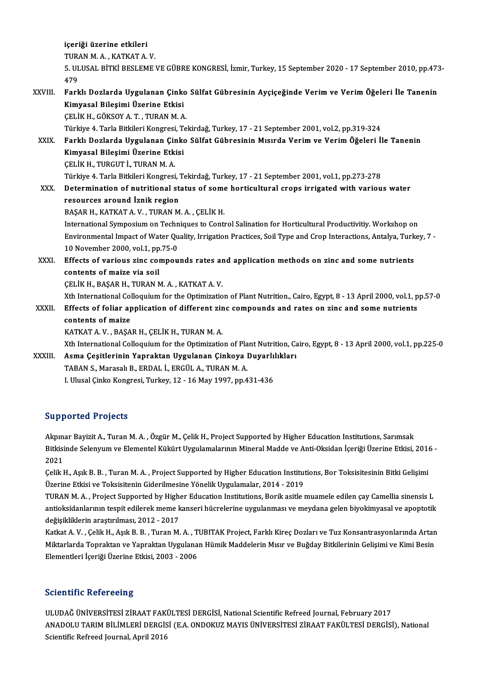içeriği üzerine etkileri TURAN M.A., KATKAT A.V. içeriği üzerine etkileri<br>TURAN M. A. , KATKAT A. V.<br>5. ULUSAL BİTKİ BESLEME VE GÜBRE KONGRESİ, İzmir, Turkey, 15 September 2020 - 17 September 2010, pp.473-<br>479 TURA<br>5. UL<br>479<br>Earl 5. ULUSAL BİTKİ BESLEME VE GÜBRE KONGRESİ, İzmir, Turkey, 15 September 2020 - 17 September 2010, pp.473<br>479<br>XXVIII. Farklı Dozlarda Uygulanan Çinko Sülfat Gübresinin Ayçiçeğinde Verim ve Verim Öğeleri İle Tanenin<br>Kimyasal 479<br>Farklı Dozlarda Uygulanan Çinko<br>Kimyasal Bileşimi Üzerine Etkisi<br>CELİK H. GÖKSOVA T. TURAN M.A Kimyasal Bileşimi Üzerine Etkisi<br>ÇELİK H., GÖKSOY A.T. , TURAN M.A. Ki<mark>myasal Bileşimi Üzerine Etkisi</mark><br>ÇELİK H., GÖKSOY A. T. , TURAN M. A.<br>Türkiye 4. Tarla Bitkileri Kongresi, Tekirdağ, Turkey, 17 - 21 September 2001, vol.2, pp.319-324<br>Farklı Daglarda Uygulanan Ginka Sülfat Gühresinin Mıs ÇELİK H., GÖKSOY A. T. , TURAN M. A.<br>Türkiye 4. Tarla Bitkileri Kongresi, Tekirdağ, Turkey, 17 - 21 September 2001, vol.2, pp.319-324<br>XXIX. Farklı Dozlarda Uygulanan Çinko Sülfat Gübresinin Mısırda Verim ve Verim Öğele Türkiye 4. Tarla Bitkileri Kongresi, T<br>Farklı Dozlarda Uygulanan Çinko<br>Kimyasal Bileşimi Üzerine Etkisi<br>CELİK H. TURCUTİ, TURAN M.A Farklı Dozlarda Uygulanan Çir<br>Kimyasal Bileşimi Üzerine Etk<br>ÇELİK H., TURGUT İ., TURAN M. A.<br>Türkiye 4. Tarla Bitkileri Konstesi Kimyasal Bileşimi Üzerine Etkisi<br>ÇELİK H., TURGUT İ., TURAN M. A.<br>Türkiye 4. Tarla Bitkileri Kongresi, Tekirdağ, Turkey, 17 - 21 September 2001, vol.1, pp.273-278 XXX. Determination of nutritional status of some horticultural crops irrigated with various water resources around İznik region BAŞAR H., KATKAT A.V., TURANM.A., ÇELİKH. International Symposium on Techniques to Control Salination for Horticultural Productivitiy. Workshop on BAŞAR H., KATKAT A. V. , TURAN M. A. , ÇELİK H.<br>International Symposium on Techniques to Control Salination for Horticultural Productivitiy. Workshop on<br>Environmental Impact of Water Quality, Irrigation Practices, Soil Typ International Symposium on Techn<br>Environmental Impact of Water Qu<br>10 November 2000, vol.1, pp.75-0<br>Effects of various sins somnou Environmental Impact of Water Quality, Irrigation Practices, Soil Type and Crop Interactions, Antalya, Turk<br>10 November 2000, vol.1, pp.75-0<br>XXXI. Effects of various zinc compounds rates and application methods on zinc and 10 November 2000, vol.1, pp.75-0<br>Effects of various zinc compounds rates ar<br>contents of maize via soil<br>CELIK H., BAŞAR H., TURAN M.A., KATKAT A.V. Effects of various zinc compounds rates an<br>contents of maize via soil<br>ÇELİK H., BAŞAR H., TURAN M.A. , KATKAT A. V.<br>Yth International Colloguium for the Ontimizatio Xth International Colloquium for the Optimization of Plant Nutrition., Cairo, Egypt, 8 - 13 April 2000, vol.1, pp.57-0 CELIK H., BAŞAR H., TURAN M. A. , KATKAT A. V.<br>Xth International Colloquium for the Optimization of Plant Nutrition., Cairo, Egypt, 8 - 13 April 2000, vol.1, p<br>XXXII. Effects of foliar application of different zinc compoun Xth International Colercity<br>Effects of foliar approached to maize contents of maize<br>KATKAT A. V. , BAŞAR H., ÇELİK H., TURAN M. A. contents of maize<br>KATKAT A. V. , BAŞAR H., ÇELİK H., TURAN M. A.<br>Xth International Colloquium for the Optimization of Plant Nutrition, Cairo, Egypt, 8 - 13 April 2000, vol.1, pp.225-0<br>Asma Gesitlerinin Yannaktan Hygulanan XXXIII. Asma Çeşitlerinin Yapraktan Uygulanan Çinkoya Duyarlılıkları<br>TABAN S., Marasalı B., ERDAL İ., ERGÜL A., TURAN M. A. Xth International Colloquium for the Optimization of Pla<br>Asma Çeşitlerinin Yapraktan Uygulanan Çinkoya I<br>TABAN S., Marasalı B., ERDAL İ., ERGÜL A., TURAN M. A.<br>Lillusal Cinko Kongresi Turkey 12 - 16 May 1997 nn 4

I. Ulusal Çinko Kongresi, Turkey, 12 - 16 May 1997, pp.431-436

### Supported Projects

Akpınar Bayizit A., Turan M. A., Özgür M., Çelik H., Project Supported by Higher Education Institutions, Sarımsak Bapportea Frojeels<br>Akpınar Bayizit A., Turan M. A. , Özgür M., Çelik H., Project Supported by Higher Education Institutions, Sarımsak<br>Bitkisinde Selenyum ve Elementel Kükürt Uygulamalarının Mineral Madde ve Anti-Oksidan İç Akpin<br>Bitkisi<br>2021<br>Colik I Bitkisinde Selenyum ve Elementel Kükürt Uygulamalarının Mineral Madde ve Anti-Oksidan İçeriği Üzerine Etkisi, 2016<br>2021<br>Çelik H., Aşık B. B. , Turan M. A. , Project Supported by Higher Education Institutions, Bor Toksisite

2021<br>Çelik H., Aşık B. B. , Turan M. A. , Project Supported by Higher Education Institutions, Bor Toksisitesinin Bitki Gelişimi<br>Üzerine Etkisi ve Toksisitenin Giderilmesine Yönelik Uygulamalar, 2014 - 2019 Celik H., Aşık B. B. , Turan M. A. , Project Supported by Higher Education Institutions, Bor Toksisitesinin Bitki Gelişimi<br>Üzerine Etkisi ve Toksisitenin Giderilmesine Yönelik Uygulamalar, 2014 - 2019<br>TURAN M. A. , Project

Üzerine Etkisi ve Toksisitenin Giderilmesine Yönelik Uygulamalar, 2014 - 2019<br>TURAN M. A. , Project Supported by Higher Education Institutions, Borik asitle muamele edilen çay Camellia sinensis L<br>antioksidanlarının tespit TURAN M. A. , Project Supported by High<br>antioksidanlarının tespit edilerek meme k<br>değişikliklerin araştırılması, 2012 - 2017<br>Katkat A. V. - Gelik H. Asık B. B. - Turan M antioksidanlarının tespit edilerek meme kanseri hücrelerine uygulanması ve meydana gelen biyokimyasal ve apoptotik<br>değişikliklerin araştırılması, 2012 - 2017<br>Katkat A. V. , Çelik H., Aşık B. B. , Turan M. A. , TUBITAK Proj

değişikliklerin araştırılması, 2012 - 2017<br>Katkat A. V. , Çelik H., Aşık B. B. , Turan M. A. , TUBITAK Project, Farklı Kireç Dozları ve Tuz Konsantrasyonlarında Artan<br>Miktarlarda Topraktan ve Yapraktan Uygulanan Hümik Madd Katkat A. V. , Çelik H., Aşık B. B. , Turan M. A. , T<br>Miktarlarda Topraktan ve Yapraktan Uygulana<br>Elementleri İçeriği Üzerine Etkisi, 2003 - 2006 Elementleri İçeriği Üzerine Etkisi, 2003 - 2006<br>Scientific Refereeing

S<mark>cientific Refereeing</mark><br>ULUDAĞ ÜNİVERSİTESİ ZİRAAT FAKÜLTESİ DERGİSİ, National Scientific Refreed Journal, February 2017<br>ANADOLU TARIM BİLİMLERİ DERGİSL(E.A. ONDOKUZ MAVIS ÜNİVERSİTESİ ZİRAAT FAKÜLTESİ DERGİSI ANADOLU TARIM BİLİMLERİ DERGİSİ (E.A. ONDOKUZ MAYIS ÜNİVERSİTESİ ZİRAAT FAKÜLTESİ DERGİSİ), National<br>Scientific Refreed Journal, April 2016 ULUDAĞ ÜNİVERSİTESİ ZİRAAT FAK<br>ANADOLU TARIM BİLİMLERİ DERGİS<br>Scientific Refreed Journal, April 2016